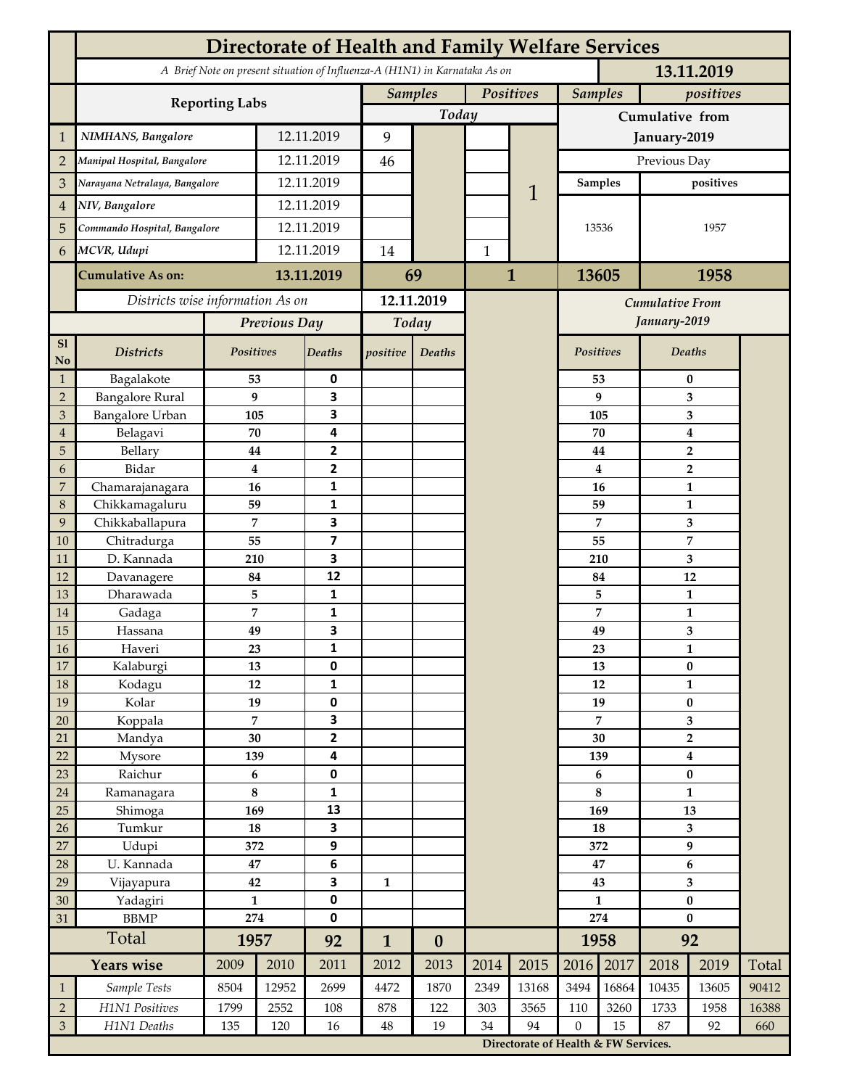|                 | <b>Directorate of Health and Family Welfare Services</b>                                 |                  |            |                         |                |                  |              |                                      |                             |              |                           |                |       |  |
|-----------------|------------------------------------------------------------------------------------------|------------------|------------|-------------------------|----------------|------------------|--------------|--------------------------------------|-----------------------------|--------------|---------------------------|----------------|-------|--|
|                 | A Brief Note on present situation of Influenza-A (H1N1) in Karnataka As on<br>13.11.2019 |                  |            |                         |                |                  |              |                                      |                             |              |                           |                |       |  |
|                 | <b>Reporting Labs</b>                                                                    |                  |            |                         | <b>Samples</b> |                  | Positives    |                                      | <b>Samples</b><br>positives |              |                           |                |       |  |
|                 |                                                                                          |                  |            |                         |                | Today            |              |                                      | Cumulative from             |              |                           |                |       |  |
| $\mathbf{1}$    | NIMHANS, Bangalore                                                                       | 12.11.2019       |            | 9                       |                |                  |              |                                      | January-2019                |              |                           |                |       |  |
| $\overline{2}$  | Manipal Hospital, Bangalore                                                              |                  |            | 12.11.2019              |                |                  |              |                                      | Previous Day                |              |                           |                |       |  |
| 3               | Narayana Netralaya, Bangalore                                                            |                  |            | 12.11.2019              |                |                  | 1            |                                      | positives<br>Samples        |              |                           |                |       |  |
| $\overline{4}$  | NIV, Bangalore                                                                           |                  | 12.11.2019 |                         |                |                  |              |                                      |                             |              |                           |                |       |  |
| 5               | Commando Hospital, Bangalore                                                             |                  | 12.11.2019 |                         |                |                  |              |                                      | 13536                       |              |                           | 1957           |       |  |
| 6               | MCVR, Udupi                                                                              |                  | 12.11.2019 |                         | 14             |                  | $\mathbf{1}$ |                                      |                             |              |                           |                |       |  |
|                 |                                                                                          |                  |            |                         |                |                  |              | $\mathbf{1}$                         |                             |              |                           |                |       |  |
|                 | <b>Cumulative As on:</b>                                                                 |                  | 13.11.2019 |                         | 69             |                  |              |                                      | 13605                       |              | 1958                      |                |       |  |
|                 | Districts wise information As on                                                         |                  |            | 12.11.2019              |                |                  |              | <b>Cumulative From</b>               |                             |              |                           |                |       |  |
|                 |                                                                                          | Previous Day     |            | Today                   |                |                  |              |                                      |                             | January-2019 |                           |                |       |  |
| S1<br>No        | <b>Districts</b>                                                                         | Positives        |            | Deaths                  | positive       | Deaths           |              |                                      | Positives                   |              |                           | Deaths         |       |  |
| $\mathbf{1}$    | Bagalakote                                                                               | 53               |            | 0                       |                |                  |              |                                      |                             | 53           | $\bf{0}$                  |                |       |  |
| $\overline{2}$  | <b>Bangalore Rural</b>                                                                   | 9                |            | 3                       |                |                  |              |                                      |                             | 9            | 3                         |                |       |  |
| 3               | Bangalore Urban                                                                          | 105              |            | 3                       |                |                  |              |                                      | 105                         |              | 3                         |                |       |  |
| $\overline{4}$  | Belagavi                                                                                 | 70               |            | 4                       |                |                  |              |                                      |                             | 70           | $\boldsymbol{4}$          |                |       |  |
| 5<br>6          | Bellary<br>Bidar                                                                         | 44<br>$\bf{4}$   |            | 2<br>$\mathbf{2}$       |                |                  |              |                                      |                             | 44<br>4      |                           | $\overline{2}$ |       |  |
| 7               | Chamarajanagara                                                                          | 16               |            | 1                       |                |                  |              |                                      |                             | 16           | $\overline{2}$<br>1       |                |       |  |
| 8               | Chikkamagaluru                                                                           | 59               |            | 1                       |                |                  |              |                                      |                             | 59           |                           | 1              |       |  |
| 9               | Chikkaballapura                                                                          | 7                |            | 3                       |                |                  |              |                                      |                             | 7            |                           | 3              |       |  |
| 10              | Chitradurga                                                                              | 55               |            | $\overline{\mathbf{z}}$ |                |                  |              |                                      |                             | 55           |                           | 7              |       |  |
| 11              | D. Kannada                                                                               | 210              |            | 3                       |                |                  |              |                                      |                             | 210          |                           | 3              |       |  |
| 12              | Davanagere                                                                               | 84               |            | 12                      |                |                  |              |                                      |                             | 84           |                           | 12             |       |  |
| 13              | Dharawada                                                                                | 5                |            | $\mathbf{1}$            |                |                  |              |                                      | 5<br>7                      |              |                           | $\mathbf{1}$   |       |  |
| 14              | Gadaga                                                                                   | 7                |            | 1<br>3                  |                |                  |              |                                      |                             |              |                           | 1              |       |  |
| 15<br><b>16</b> | Hassana<br>Haveri                                                                        | 49<br>23         |            | 1                       |                |                  |              |                                      |                             | 49<br>23     | 3<br>1                    |                |       |  |
| 17              | Kalaburgi                                                                                | 13               |            | 0                       |                |                  |              |                                      |                             | 13           | $\pmb{0}$                 |                |       |  |
| 18              | Kodagu                                                                                   | 12               |            | $\mathbf{1}$            |                |                  |              |                                      |                             | 12           | $\mathbf{1}$              |                |       |  |
| 19              | Kolar                                                                                    | 19               |            | 0                       |                |                  |              |                                      |                             | 19           |                           | $\pmb{0}$      |       |  |
| 20              | Koppala                                                                                  | $\overline{7}$   |            | 3                       |                |                  |              |                                      |                             | 7            |                           | 3              |       |  |
| 21              | Mandya                                                                                   | $30\,$           |            | $\mathbf{2}$            |                |                  |              |                                      | 30                          |              | $\mathbf 2$               |                |       |  |
| 22              | Mysore                                                                                   | 139              |            | 4                       |                |                  |              |                                      | 139                         |              | $\boldsymbol{4}$          |                |       |  |
| 23              | Raichur                                                                                  | $\bf 6$          |            | $\pmb{0}$               |                |                  |              |                                      |                             | 6            | $\pmb{0}$<br>$\mathbf{1}$ |                |       |  |
| $24\,$<br>25    | Ramanagara<br>Shimoga                                                                    | 8<br>169         |            | 1<br>13                 |                |                  |              |                                      | 8<br>169                    |              | 13                        |                |       |  |
| 26              | Tumkur                                                                                   | ${\bf 18}$       |            | 3                       |                |                  |              |                                      | 18                          |              | 3                         |                |       |  |
| 27              | Udupi                                                                                    | 372              |            | 9                       |                |                  |              |                                      | 372                         |              | $\boldsymbol{9}$          |                |       |  |
| 28              | U. Kannada                                                                               | $\bf 47$         |            | $\bf 6$                 |                |                  |              |                                      | 47                          |              | $\bf 6$                   |                |       |  |
| 29              | Vijayapura                                                                               | 42               |            | 3                       | $\mathbf{1}$   |                  |              |                                      | 43                          |              | $\overline{\mathbf{3}}$   |                |       |  |
| 30              | Yadagiri                                                                                 | $\mathbf{1}$     |            | 0                       |                |                  |              |                                      | $\mathbf{1}$                |              | $\pmb{0}$                 |                |       |  |
| 31              | <b>BBMP</b>                                                                              | 274              |            | 0                       |                |                  |              |                                      | 274                         |              | $\bf{0}$                  |                |       |  |
|                 | Total                                                                                    | 1957             |            | 92                      | $\mathbf{1}$   | $\boldsymbol{0}$ |              |                                      |                             | 1958         | 92                        |                |       |  |
|                 | <b>Years wise</b>                                                                        | 2009             | 2010       | 2011                    | 2012           | 2013             | 2014         | 2015                                 | 2016                        | 2017         | 2018                      | 2019           | Total |  |
| $\mathbf{1}$    | Sample Tests                                                                             | 8504             | 12952      | 2699                    | 4472           | 1870             | 2349         | 13168                                | 3494                        | 16864        | 10435                     | 13605          | 90412 |  |
| $\overline{2}$  | H1N1 Positives                                                                           | 1799             | 2552       | 108                     | 878            | 122              | 303          | 3565                                 | 110                         | 3260         | 1733                      | 1958           | 16388 |  |
| $\mathfrak{Z}$  | H1N1 Deaths                                                                              | 135<br>120<br>16 |            | $48\,$                  | 19             | 34               | 94           | $\mathbf{0}$                         | 15                          | 87<br>92     |                           | 660            |       |  |
|                 |                                                                                          |                  |            |                         |                |                  |              | Directorate of Health & FW Services. |                             |              |                           |                |       |  |